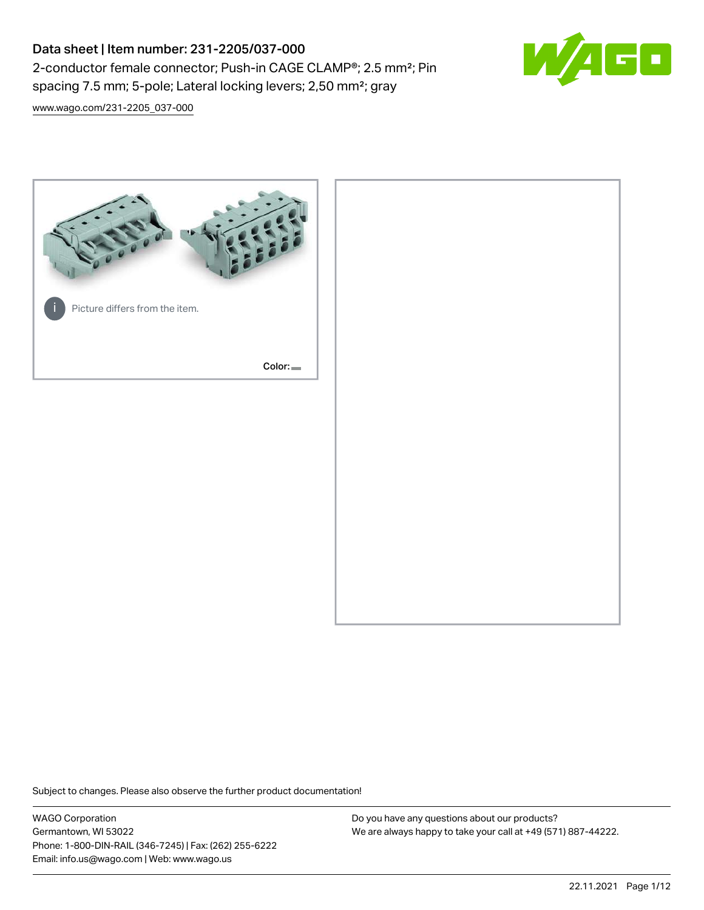# Data sheet | Item number: 231-2205/037-000 2-conductor female connector; Push-in CAGE CLAMP®; 2.5 mm²; Pin spacing 7.5 mm; 5-pole; Lateral locking levers; 2,50 mm²; gray



[www.wago.com/231-2205\\_037-000](http://www.wago.com/231-2205_037-000)



Subject to changes. Please also observe the further product documentation!

WAGO Corporation Germantown, WI 53022 Phone: 1-800-DIN-RAIL (346-7245) | Fax: (262) 255-6222 Email: info.us@wago.com | Web: www.wago.us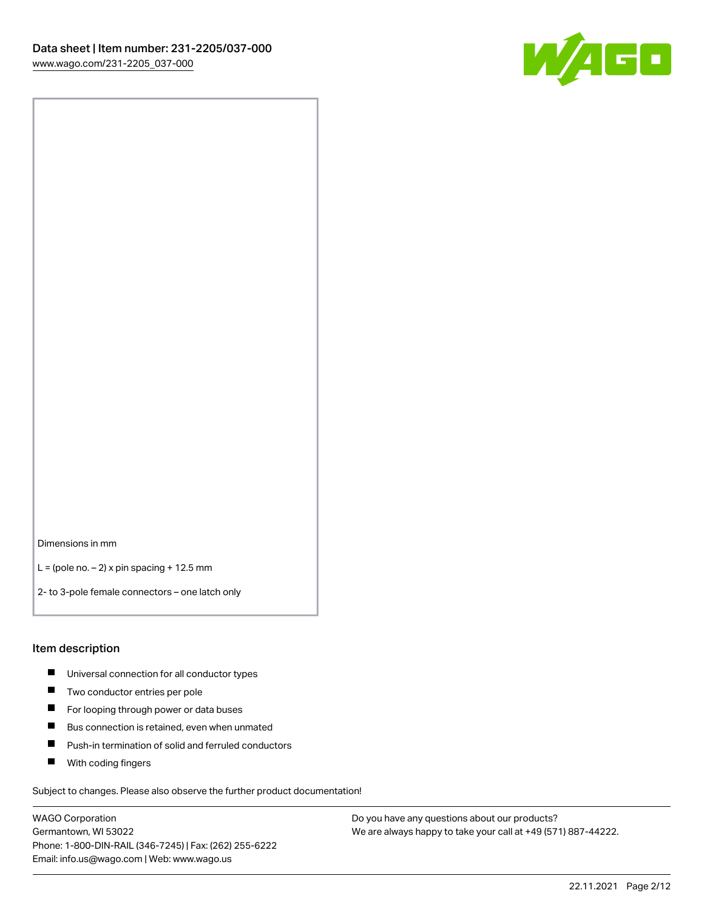

Dimensions in mm

 $L =$  (pole no.  $-2$ ) x pin spacing + 12.5 mm

2- to 3-pole female connectors – one latch only

#### Item description

- **Universal connection for all conductor types**
- **Two conductor entries per pole**
- $\blacksquare$ For looping through power or data buses
- $\blacksquare$ Bus connection is retained, even when unmated
- $\blacksquare$ Push-in termination of solid and ferruled conductors
- $\blacksquare$ With coding fingers

Subject to changes. Please also observe the further product documentation!

WAGO Corporation Germantown, WI 53022 Phone: 1-800-DIN-RAIL (346-7245) | Fax: (262) 255-6222 Email: info.us@wago.com | Web: www.wago.us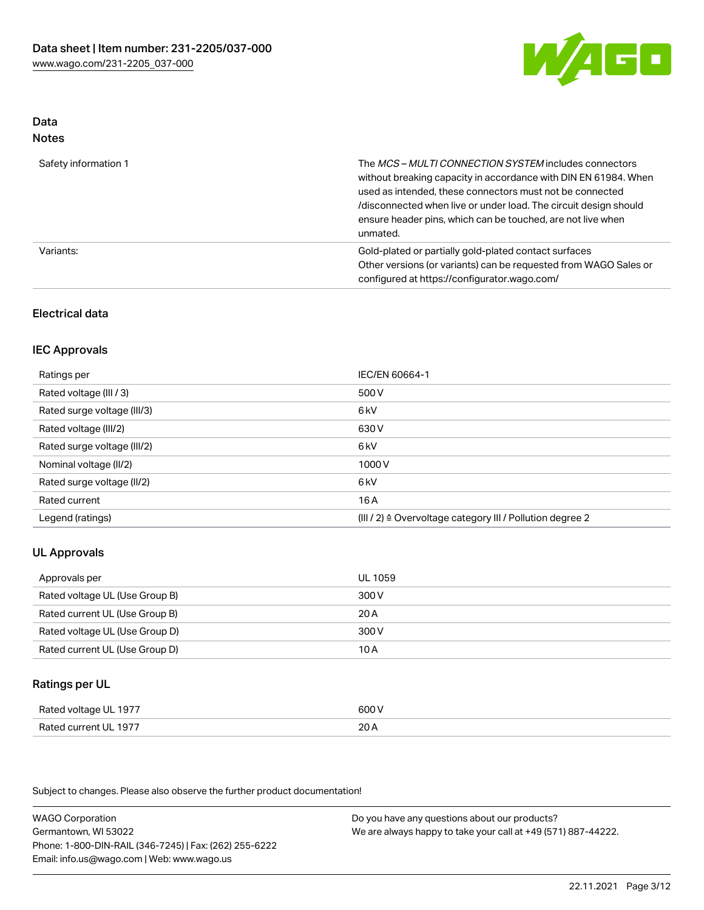

#### Data Notes

| .                    |                                                                                                                                                                                                                                                                                                                                   |
|----------------------|-----------------------------------------------------------------------------------------------------------------------------------------------------------------------------------------------------------------------------------------------------------------------------------------------------------------------------------|
| Safety information 1 | The MCS-MULTI CONNECTION SYSTEM includes connectors<br>without breaking capacity in accordance with DIN EN 61984. When<br>used as intended, these connectors must not be connected<br>/disconnected when live or under load. The circuit design should<br>ensure header pins, which can be touched, are not live when<br>unmated. |
| Variants:            | Gold-plated or partially gold-plated contact surfaces<br>Other versions (or variants) can be requested from WAGO Sales or<br>configured at https://configurator.wago.com/                                                                                                                                                         |

### Electrical data

### IEC Approvals

| Ratings per                 | IEC/EN 60664-1                                                        |
|-----------------------------|-----------------------------------------------------------------------|
| Rated voltage (III / 3)     | 500 V                                                                 |
| Rated surge voltage (III/3) | 6 <sub>k</sub> V                                                      |
| Rated voltage (III/2)       | 630 V                                                                 |
| Rated surge voltage (III/2) | 6 <sub>k</sub> V                                                      |
| Nominal voltage (II/2)      | 1000 V                                                                |
| Rated surge voltage (II/2)  | 6 kV                                                                  |
| Rated current               | 16 A                                                                  |
| Legend (ratings)            | $(III / 2)$ $\triangle$ Overvoltage category III / Pollution degree 2 |

# UL Approvals

| Approvals per                  | UL 1059 |
|--------------------------------|---------|
| Rated voltage UL (Use Group B) | 300 V   |
| Rated current UL (Use Group B) | 20 A    |
| Rated voltage UL (Use Group D) | 300 V   |
| Rated current UL (Use Group D) | 10 A    |

### Ratings per UL

| Rated voltage UL 1977 | 600 V |
|-----------------------|-------|
| Rated current UL 1977 | 20A   |

Subject to changes. Please also observe the further product documentation!

WAGO Corporation Germantown, WI 53022 Phone: 1-800-DIN-RAIL (346-7245) | Fax: (262) 255-6222 Email: info.us@wago.com | Web: www.wago.us Do you have any questions about our products? We are always happy to take your call at +49 (571) 887-44222.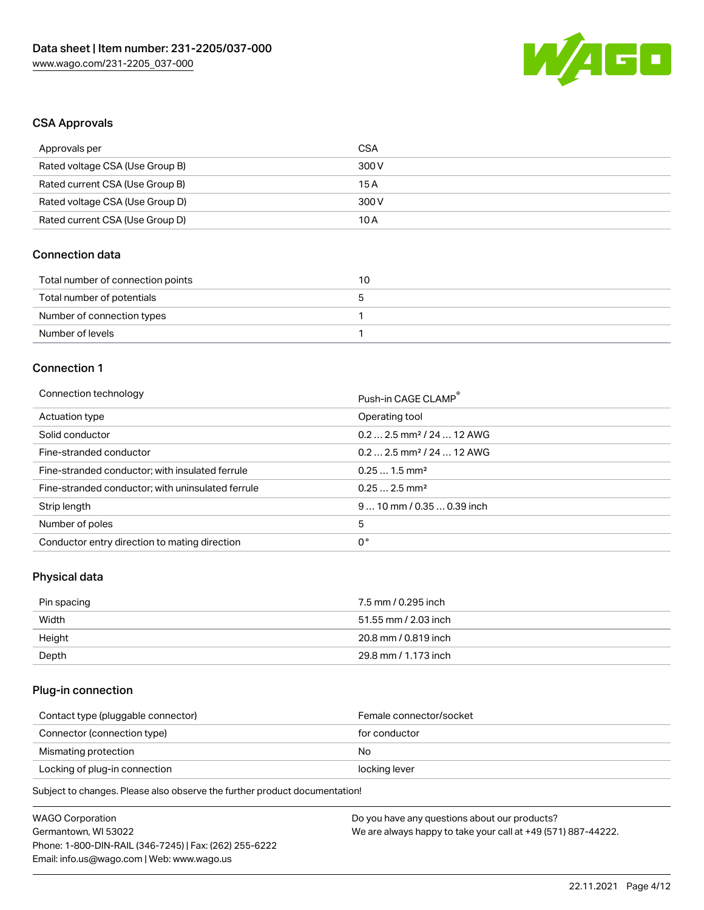

### CSA Approvals

| Approvals per                   | CSA   |
|---------------------------------|-------|
| Rated voltage CSA (Use Group B) | 300 V |
| Rated current CSA (Use Group B) | 15 A  |
| Rated voltage CSA (Use Group D) | 300 V |
| Rated current CSA (Use Group D) | 10 A  |

# Connection data

| Total number of connection points | 10 |
|-----------------------------------|----|
| Total number of potentials        |    |
| Number of connection types        |    |
| Number of levels                  |    |

### Connection 1

#### Connection technology **Push-in CAGE CLAMP<sup>®</sup>**

| ັ                                                 | Push-in CAGE CLAMP                    |
|---------------------------------------------------|---------------------------------------|
| Actuation type                                    | Operating tool                        |
| Solid conductor                                   | $0.22.5$ mm <sup>2</sup> / 24  12 AWG |
| Fine-stranded conductor                           | $0.22.5$ mm <sup>2</sup> / 24  12 AWG |
| Fine-stranded conductor; with insulated ferrule   | $0.251.5$ mm <sup>2</sup>             |
| Fine-stranded conductor; with uninsulated ferrule | $0.252.5$ mm <sup>2</sup>             |
| Strip length                                      | $910$ mm / 0.35  0.39 inch            |
| Number of poles                                   | 5                                     |
| Conductor entry direction to mating direction     | 0°                                    |

# Physical data

| Pin spacing | 7.5 mm / 0.295 inch  |
|-------------|----------------------|
| Width       | 51.55 mm / 2.03 inch |
| Height      | 20.8 mm / 0.819 inch |
| Depth       | 29.8 mm / 1.173 inch |

### Plug-in connection

| Contact type (pluggable connector) | Female connector/socket |
|------------------------------------|-------------------------|
| Connector (connection type)        | for conductor           |
| Mismating protection               | No                      |
| Locking of plug-in connection      | locking lever           |
|                                    |                         |

Subject to changes. Please also observe the further product documentation!

| <b>WAGO Corporation</b>                                | Do you have any questions about our products?                 |
|--------------------------------------------------------|---------------------------------------------------------------|
| Germantown, WI 53022                                   | We are always happy to take your call at +49 (571) 887-44222. |
| Phone: 1-800-DIN-RAIL (346-7245)   Fax: (262) 255-6222 |                                                               |
| Email: info.us@wago.com   Web: www.wago.us             |                                                               |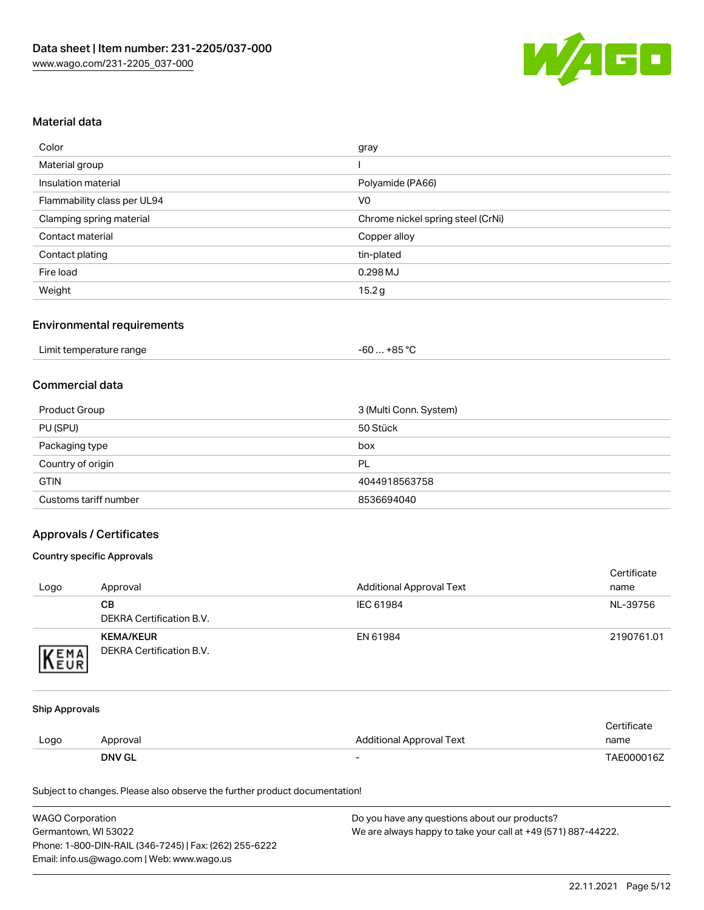

### Material data

| Color                       | gray                              |
|-----------------------------|-----------------------------------|
| Material group              |                                   |
| Insulation material         | Polyamide (PA66)                  |
| Flammability class per UL94 | V <sub>0</sub>                    |
| Clamping spring material    | Chrome nickel spring steel (CrNi) |
| Contact material            | Copper alloy                      |
| Contact plating             | tin-plated                        |
| Fire load                   | 0.298MJ                           |
| Weight                      | 15.2 g                            |

#### Environmental requirements

|  | Limit temperature range | -60  +85 °C |  |
|--|-------------------------|-------------|--|
|--|-------------------------|-------------|--|

### Commercial data

| Product Group         | 3 (Multi Conn. System) |
|-----------------------|------------------------|
| PU (SPU)              | 50 Stück               |
| Packaging type        | box                    |
| Country of origin     | PL                     |
| <b>GTIN</b>           | 4044918563758          |
| Customs tariff number | 8536694040             |

### Approvals / Certificates

#### Country specific Approvals

| Logo | Approval                                     | <b>Additional Approval Text</b> | Certificate<br>name |
|------|----------------------------------------------|---------------------------------|---------------------|
|      | CВ<br>DEKRA Certification B.V.               | IEC 61984                       | NL-39756            |
| EMA  | <b>KEMA/KEUR</b><br>DEKRA Certification B.V. | EN 61984                        | 2190761.01          |

#### Ship Approvals

|      | <b>DNV GL</b> | $\overline{\phantom{0}}$ | TAE000016Z  |
|------|---------------|--------------------------|-------------|
| Logo | Approval      | Additional Approval Text | name        |
|      |               |                          | Certificate |

Subject to changes. Please also observe the further product documentation!

| <b>WAGO Corporation</b>                                | Do you have any questions about our products?                 |
|--------------------------------------------------------|---------------------------------------------------------------|
| Germantown, WI 53022                                   | We are always happy to take your call at +49 (571) 887-44222. |
| Phone: 1-800-DIN-RAIL (346-7245)   Fax: (262) 255-6222 |                                                               |
| Email: info.us@wago.com   Web: www.wago.us             |                                                               |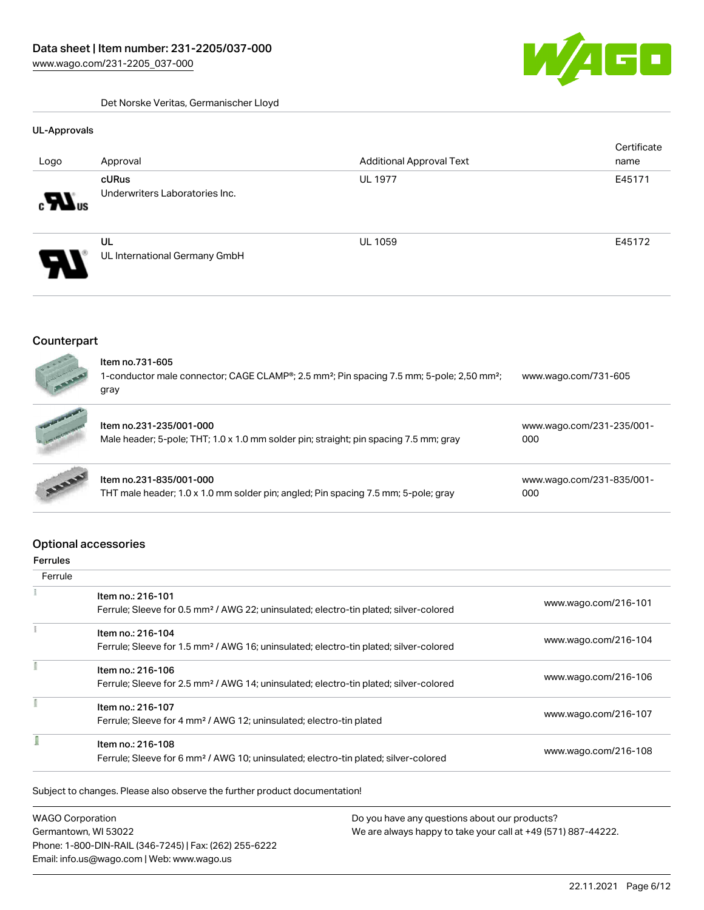GO

Det Norske Veritas, Germanischer Lloyd

#### UL-Approvals

|                              |                                         |                                 | Certificate |
|------------------------------|-----------------------------------------|---------------------------------|-------------|
| Logo                         | Approval                                | <b>Additional Approval Text</b> | name        |
| $\boldsymbol{H}_{\text{us}}$ | cURus<br>Underwriters Laboratories Inc. | <b>UL 1977</b>                  | E45171      |
| Я.                           | UL<br>UL International Germany GmbH     | <b>UL 1059</b>                  | E45172      |

### **Counterpart**

| $\sqrt{2}$<br>FREE | ltem no.731-605<br>1-conductor male connector; CAGE CLAMP®; 2.5 mm <sup>2</sup> ; Pin spacing 7.5 mm; 5-pole; 2,50 mm <sup>2</sup> ;<br>gray | www.wago.com/731-605 |  |
|--------------------|----------------------------------------------------------------------------------------------------------------------------------------------|----------------------|--|
|                    |                                                                                                                                              |                      |  |

|              | Item no.231-235/001-000<br>Male header; 5-pole; THT; 1.0 x 1.0 mm solder pin; straight; pin spacing 7.5 mm; gray | www.wago.com/231-235/001-<br>000 |
|--------------|------------------------------------------------------------------------------------------------------------------|----------------------------------|
| <b>BARRY</b> | Item no.231-835/001-000<br>THT male header; 1.0 x 1.0 mm solder pin; angled; Pin spacing 7.5 mm; 5-pole; gray    | www.wago.com/231-835/001-<br>000 |

# Optional accessories

#### Ferrules

 $\frac{1}{2}$ 

| Item no.: 216-101<br>Ferrule; Sleeve for 0.5 mm <sup>2</sup> / AWG 22; uninsulated; electro-tin plated; silver-colored | www.wago.com/216-101 |
|------------------------------------------------------------------------------------------------------------------------|----------------------|
| Item no.: 216-104<br>Ferrule; Sleeve for 1.5 mm <sup>2</sup> / AWG 16; uninsulated; electro-tin plated; silver-colored | www.wago.com/216-104 |
| Item no.: 216-106<br>Ferrule; Sleeve for 2.5 mm <sup>2</sup> / AWG 14; uninsulated; electro-tin plated; silver-colored | www.wago.com/216-106 |
| Item no.: 216-107<br>Ferrule; Sleeve for 4 mm <sup>2</sup> / AWG 12; uninsulated; electro-tin plated                   | www.wago.com/216-107 |
| Item no.: 216-108<br>Ferrule; Sleeve for 6 mm <sup>2</sup> / AWG 10; uninsulated; electro-tin plated; silver-colored   | www.wago.com/216-108 |
|                                                                                                                        |                      |

Subject to changes. Please also observe the further product documentation!

WAGO Corporation Germantown, WI 53022 Phone: 1-800-DIN-RAIL (346-7245) | Fax: (262) 255-6222 Email: info.us@wago.com | Web: www.wago.us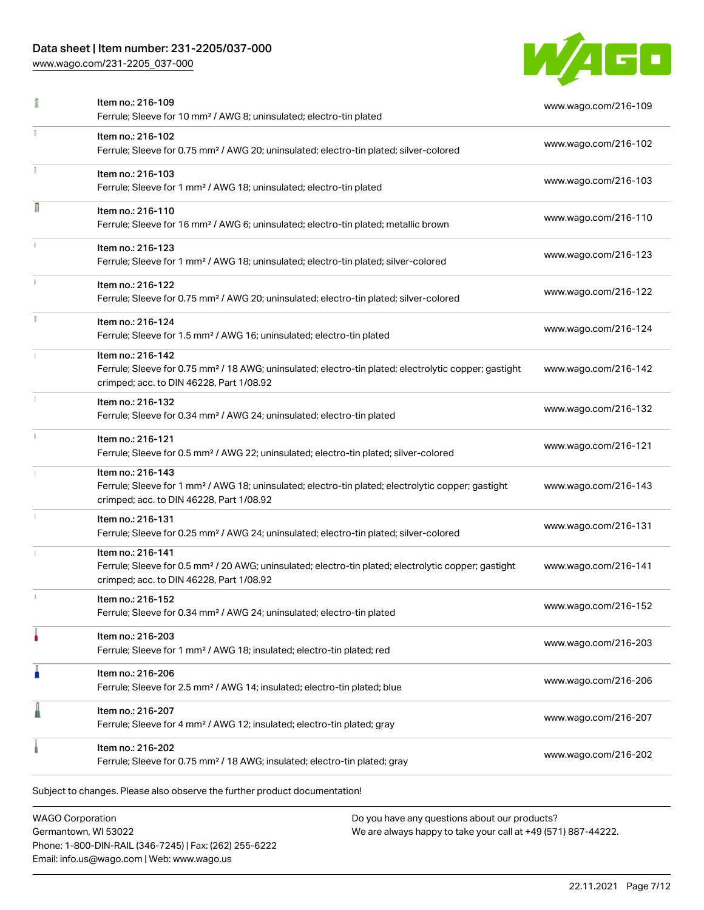# Data sheet | Item number: 231-2205/037-000

[www.wago.com/231-2205\\_037-000](http://www.wago.com/231-2205_037-000)



|    | Item no.: 216-109<br>Ferrule; Sleeve for 10 mm <sup>2</sup> / AWG 8; uninsulated; electro-tin plated                                                                               | www.wago.com/216-109 |
|----|------------------------------------------------------------------------------------------------------------------------------------------------------------------------------------|----------------------|
|    | Item no.: 216-102<br>Ferrule; Sleeve for 0.75 mm <sup>2</sup> / AWG 20; uninsulated; electro-tin plated; silver-colored                                                            | www.wago.com/216-102 |
|    | Item no.: 216-103<br>Ferrule; Sleeve for 1 mm <sup>2</sup> / AWG 18; uninsulated; electro-tin plated                                                                               | www.wago.com/216-103 |
| Ω  | Item no.: 216-110<br>Ferrule; Sleeve for 16 mm <sup>2</sup> / AWG 6; uninsulated; electro-tin plated; metallic brown                                                               | www.wago.com/216-110 |
|    | Item no.: 216-123<br>Ferrule; Sleeve for 1 mm <sup>2</sup> / AWG 18; uninsulated; electro-tin plated; silver-colored                                                               | www.wago.com/216-123 |
|    | Item no.: 216-122<br>Ferrule; Sleeve for 0.75 mm <sup>2</sup> / AWG 20; uninsulated; electro-tin plated; silver-colored                                                            | www.wago.com/216-122 |
| I. | Item no.: 216-124<br>Ferrule; Sleeve for 1.5 mm <sup>2</sup> / AWG 16; uninsulated; electro-tin plated                                                                             | www.wago.com/216-124 |
|    | Item no.: 216-142<br>Ferrule; Sleeve for 0.75 mm <sup>2</sup> / 18 AWG; uninsulated; electro-tin plated; electrolytic copper; gastight<br>crimped; acc. to DIN 46228, Part 1/08.92 | www.wago.com/216-142 |
|    | Item no.: 216-132<br>Ferrule; Sleeve for 0.34 mm <sup>2</sup> / AWG 24; uninsulated; electro-tin plated                                                                            | www.wago.com/216-132 |
|    | Item no.: 216-121<br>Ferrule; Sleeve for 0.5 mm <sup>2</sup> / AWG 22; uninsulated; electro-tin plated; silver-colored                                                             | www.wago.com/216-121 |
|    | Item no.: 216-143<br>Ferrule; Sleeve for 1 mm <sup>2</sup> / AWG 18; uninsulated; electro-tin plated; electrolytic copper; gastight<br>crimped; acc. to DIN 46228, Part 1/08.92    | www.wago.com/216-143 |
|    | Item no.: 216-131<br>Ferrule; Sleeve for 0.25 mm <sup>2</sup> / AWG 24; uninsulated; electro-tin plated; silver-colored                                                            | www.wago.com/216-131 |
|    | Item no.: 216-141<br>Ferrule; Sleeve for 0.5 mm <sup>2</sup> / 20 AWG; uninsulated; electro-tin plated; electrolytic copper; gastight<br>crimped; acc. to DIN 46228, Part 1/08.92  | www.wago.com/216-141 |
|    | Item no.: 216-152<br>Ferrule; Sleeve for 0.34 mm <sup>2</sup> / AWG 24; uninsulated; electro-tin plated                                                                            | www.wago.com/216-152 |
|    | Item no.: 216-203<br>Ferrule; Sleeve for 1 mm <sup>2</sup> / AWG 18; insulated; electro-tin plated; red                                                                            | www.wago.com/216-203 |
| Ω  | Item no.: 216-206<br>Ferrule; Sleeve for 2.5 mm <sup>2</sup> / AWG 14; insulated; electro-tin plated; blue                                                                         | www.wago.com/216-206 |
|    | Item no.: 216-207<br>Ferrule; Sleeve for 4 mm <sup>2</sup> / AWG 12; insulated; electro-tin plated; gray                                                                           | www.wago.com/216-207 |
|    | Item no.: 216-202<br>Ferrule; Sleeve for 0.75 mm <sup>2</sup> / 18 AWG; insulated; electro-tin plated; gray                                                                        | www.wago.com/216-202 |
|    | Subject to changes. Please also observe the further product documentation!                                                                                                         |                      |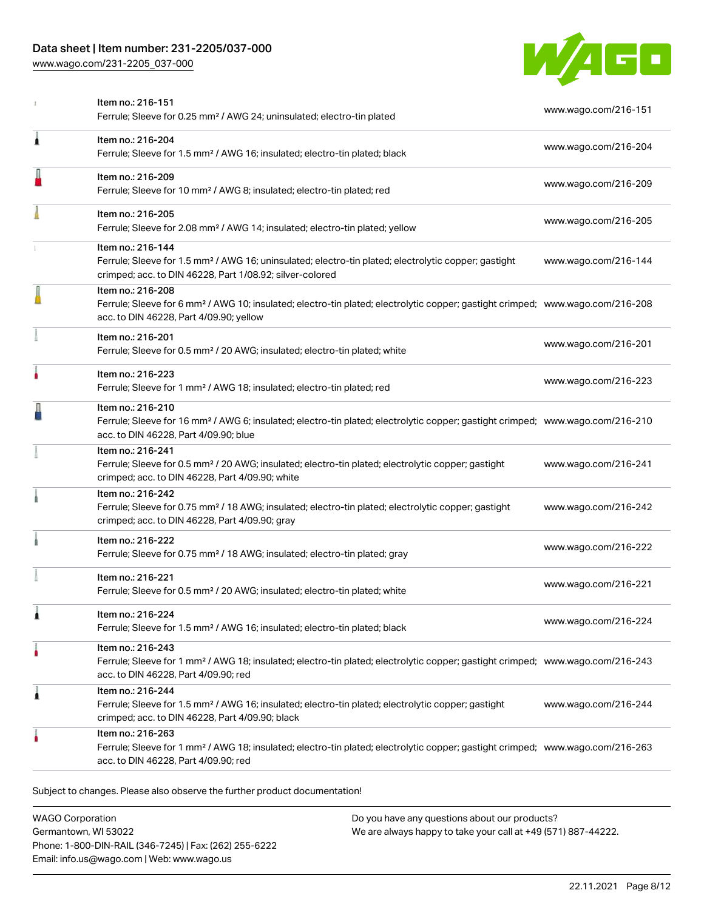# Data sheet | Item number: 231-2205/037-000

[www.wago.com/231-2205\\_037-000](http://www.wago.com/231-2205_037-000)



|   | Item no.: 216-151<br>Ferrule; Sleeve for 0.25 mm <sup>2</sup> / AWG 24; uninsulated; electro-tin plated                                                                                                    | www.wago.com/216-151 |
|---|------------------------------------------------------------------------------------------------------------------------------------------------------------------------------------------------------------|----------------------|
| 1 | Item no.: 216-204<br>Ferrule; Sleeve for 1.5 mm <sup>2</sup> / AWG 16; insulated; electro-tin plated; black                                                                                                | www.wago.com/216-204 |
|   | Item no.: 216-209<br>Ferrule; Sleeve for 10 mm <sup>2</sup> / AWG 8; insulated; electro-tin plated; red                                                                                                    | www.wago.com/216-209 |
|   | Item no.: 216-205<br>Ferrule; Sleeve for 2.08 mm <sup>2</sup> / AWG 14; insulated; electro-tin plated; yellow                                                                                              | www.wago.com/216-205 |
|   | Item no.: 216-144<br>Ferrule; Sleeve for 1.5 mm <sup>2</sup> / AWG 16; uninsulated; electro-tin plated; electrolytic copper; gastight<br>crimped; acc. to DIN 46228, Part 1/08.92; silver-colored          | www.wago.com/216-144 |
|   | Item no.: 216-208<br>Ferrule; Sleeve for 6 mm <sup>2</sup> / AWG 10; insulated; electro-tin plated; electrolytic copper; gastight crimped; www.wago.com/216-208<br>acc. to DIN 46228, Part 4/09.90; yellow |                      |
|   | Item no.: 216-201<br>Ferrule; Sleeve for 0.5 mm <sup>2</sup> / 20 AWG; insulated; electro-tin plated; white                                                                                                | www.wago.com/216-201 |
| ۸ | Item no.: 216-223<br>Ferrule; Sleeve for 1 mm <sup>2</sup> / AWG 18; insulated; electro-tin plated; red                                                                                                    | www.wago.com/216-223 |
|   | Item no.: 216-210<br>Ferrule; Sleeve for 16 mm <sup>2</sup> / AWG 6; insulated; electro-tin plated; electrolytic copper; gastight crimped; www.wago.com/216-210<br>acc. to DIN 46228, Part 4/09.90; blue   |                      |
|   | Item no.: 216-241<br>Ferrule; Sleeve for 0.5 mm <sup>2</sup> / 20 AWG; insulated; electro-tin plated; electrolytic copper; gastight<br>crimped; acc. to DIN 46228, Part 4/09.90; white                     | www.wago.com/216-241 |
|   | Item no.: 216-242<br>Ferrule; Sleeve for 0.75 mm <sup>2</sup> / 18 AWG; insulated; electro-tin plated; electrolytic copper; gastight<br>crimped; acc. to DIN 46228, Part 4/09.90; gray                     | www.wago.com/216-242 |
|   | Item no.: 216-222<br>Ferrule; Sleeve for 0.75 mm <sup>2</sup> / 18 AWG; insulated; electro-tin plated; gray                                                                                                | www.wago.com/216-222 |
|   | Item no.: 216-221<br>Ferrule; Sleeve for 0.5 mm <sup>2</sup> / 20 AWG; insulated; electro-tin plated; white                                                                                                | www.wago.com/216-221 |
| Â | Item no.: 216-224<br>Ferrule; Sleeve for 1.5 mm <sup>2</sup> / AWG 16; insulated; electro-tin plated; black                                                                                                | www.wago.com/216-224 |
| ۸ | Item no.: 216-243<br>Ferrule; Sleeve for 1 mm <sup>2</sup> / AWG 18; insulated; electro-tin plated; electrolytic copper; gastight crimped; www.wago.com/216-243<br>acc. to DIN 46228, Part 4/09.90; red    |                      |
| 1 | Item no.: 216-244<br>Ferrule; Sleeve for 1.5 mm <sup>2</sup> / AWG 16; insulated; electro-tin plated; electrolytic copper; gastight<br>crimped; acc. to DIN 46228, Part 4/09.90; black                     | www.wago.com/216-244 |
|   | Item no.: 216-263<br>Ferrule; Sleeve for 1 mm <sup>2</sup> / AWG 18; insulated; electro-tin plated; electrolytic copper; gastight crimped; www.wago.com/216-263<br>acc. to DIN 46228, Part 4/09.90; red    |                      |

WAGO Corporation Germantown, WI 53022 Phone: 1-800-DIN-RAIL (346-7245) | Fax: (262) 255-6222 Email: info.us@wago.com | Web: www.wago.us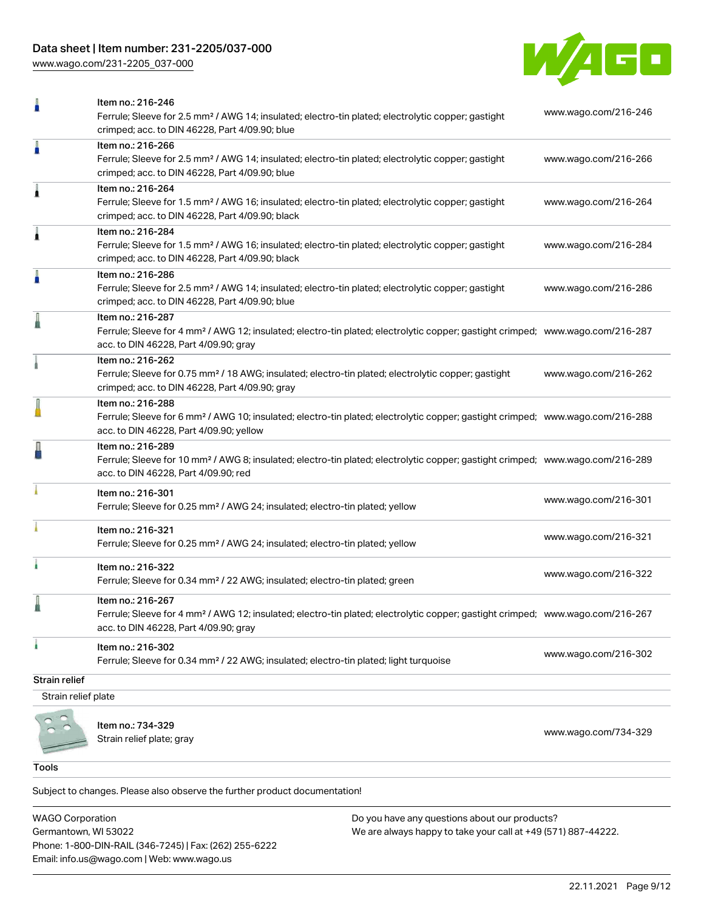# Data sheet | Item number: 231-2205/037-000

[www.wago.com/231-2205\\_037-000](http://www.wago.com/231-2205_037-000)



| Ω                   | Item no.: 216-246                                                                                                                                               |                      |
|---------------------|-----------------------------------------------------------------------------------------------------------------------------------------------------------------|----------------------|
|                     | Ferrule; Sleeve for 2.5 mm <sup>2</sup> / AWG 14; insulated; electro-tin plated; electrolytic copper; gastight                                                  | www.wago.com/216-246 |
|                     | crimped; acc. to DIN 46228, Part 4/09.90; blue<br>Item no.: 216-266                                                                                             |                      |
|                     | Ferrule; Sleeve for 2.5 mm <sup>2</sup> / AWG 14; insulated; electro-tin plated; electrolytic copper; gastight                                                  | www.wago.com/216-266 |
|                     | crimped; acc. to DIN 46228, Part 4/09.90; blue                                                                                                                  |                      |
| Â                   | Item no.: 216-264                                                                                                                                               |                      |
|                     | Ferrule; Sleeve for 1.5 mm <sup>2</sup> / AWG 16; insulated; electro-tin plated; electrolytic copper; gastight                                                  | www.wago.com/216-264 |
|                     | crimped; acc. to DIN 46228, Part 4/09.90; black                                                                                                                 |                      |
| Â                   | Item no.: 216-284                                                                                                                                               |                      |
|                     | Ferrule; Sleeve for 1.5 mm <sup>2</sup> / AWG 16; insulated; electro-tin plated; electrolytic copper; gastight                                                  | www.wago.com/216-284 |
|                     | crimped; acc. to DIN 46228, Part 4/09.90; black                                                                                                                 |                      |
| A                   | Item no.: 216-286                                                                                                                                               |                      |
|                     | Ferrule; Sleeve for 2.5 mm <sup>2</sup> / AWG 14; insulated; electro-tin plated; electrolytic copper; gastight                                                  | www.wago.com/216-286 |
|                     | crimped; acc. to DIN 46228, Part 4/09.90; blue                                                                                                                  |                      |
|                     | Item no.: 216-287                                                                                                                                               |                      |
|                     | Ferrule; Sleeve for 4 mm <sup>2</sup> / AWG 12; insulated; electro-tin plated; electrolytic copper; gastight crimped; www.wago.com/216-287                      |                      |
|                     | acc. to DIN 46228, Part 4/09.90; gray                                                                                                                           |                      |
|                     | Item no.: 216-262                                                                                                                                               |                      |
|                     | Ferrule; Sleeve for 0.75 mm <sup>2</sup> / 18 AWG; insulated; electro-tin plated; electrolytic copper; gastight                                                 | www.wago.com/216-262 |
|                     | crimped; acc. to DIN 46228, Part 4/09.90; gray                                                                                                                  |                      |
|                     | Item no.: 216-288<br>Ferrule; Sleeve for 6 mm <sup>2</sup> / AWG 10; insulated; electro-tin plated; electrolytic copper; gastight crimped; www.wago.com/216-288 |                      |
|                     | acc. to DIN 46228, Part 4/09.90; yellow                                                                                                                         |                      |
|                     | Item no.: 216-289                                                                                                                                               |                      |
|                     | Ferrule; Sleeve for 10 mm <sup>2</sup> / AWG 8; insulated; electro-tin plated; electrolytic copper; gastight crimped; www.wago.com/216-289                      |                      |
|                     | acc. to DIN 46228, Part 4/09.90; red                                                                                                                            |                      |
|                     |                                                                                                                                                                 |                      |
|                     | Item no.: 216-301<br>Ferrule; Sleeve for 0.25 mm <sup>2</sup> / AWG 24; insulated; electro-tin plated; yellow                                                   | www.wago.com/216-301 |
|                     |                                                                                                                                                                 |                      |
|                     | Item no.: 216-321                                                                                                                                               | www.wago.com/216-321 |
|                     | Ferrule; Sleeve for 0.25 mm <sup>2</sup> / AWG 24; insulated; electro-tin plated; yellow                                                                        |                      |
| i.                  | Item no.: 216-322                                                                                                                                               |                      |
|                     | Ferrule; Sleeve for 0.34 mm <sup>2</sup> / 22 AWG; insulated; electro-tin plated; green                                                                         | www.wago.com/216-322 |
|                     |                                                                                                                                                                 |                      |
|                     | Item no.: 216-267                                                                                                                                               |                      |
|                     | Ferrule; Sleeve for 4 mm <sup>2</sup> / AWG 12; insulated; electro-tin plated; electrolytic copper; gastight crimped; www.wago.com/216-267                      |                      |
|                     | acc. to DIN 46228, Part 4/09.90; gray                                                                                                                           |                      |
| i.                  | Item no.: 216-302                                                                                                                                               | www.wago.com/216-302 |
|                     | Ferrule; Sleeve for 0.34 mm <sup>2</sup> / 22 AWG; insulated; electro-tin plated; light turquoise                                                               |                      |
| Strain relief       |                                                                                                                                                                 |                      |
| Strain relief plate |                                                                                                                                                                 |                      |
|                     |                                                                                                                                                                 |                      |
|                     | Item no.: 734-329                                                                                                                                               | www.wago.com/734-329 |
|                     | Strain relief plate; gray                                                                                                                                       |                      |
|                     |                                                                                                                                                                 |                      |

Tools

Subject to changes. Please also observe the further product documentation!

WAGO Corporation Germantown, WI 53022 Phone: 1-800-DIN-RAIL (346-7245) | Fax: (262) 255-6222 Email: info.us@wago.com | Web: www.wago.us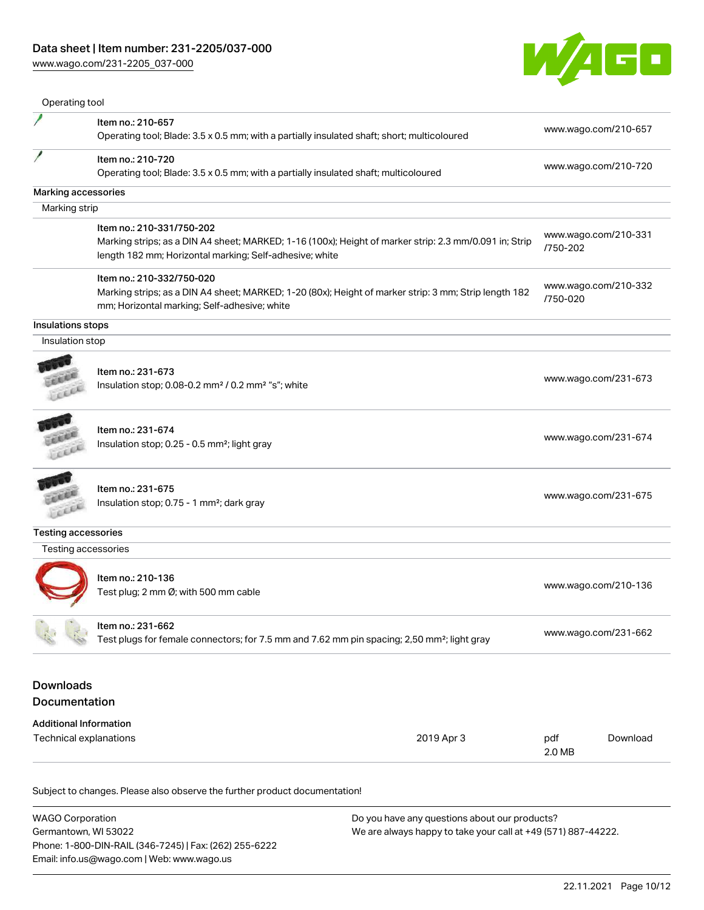[www.wago.com/231-2205\\_037-000](http://www.wago.com/231-2205_037-000)



|                                                                           | Item no.: 210-657<br>Operating tool; Blade: 3.5 x 0.5 mm; with a partially insulated shaft; short; multicoloured                                                                               |               | www.wago.com/210-657 |
|---------------------------------------------------------------------------|------------------------------------------------------------------------------------------------------------------------------------------------------------------------------------------------|---------------|----------------------|
|                                                                           | Item no.: 210-720                                                                                                                                                                              |               | www.wago.com/210-720 |
|                                                                           | Operating tool; Blade: 3.5 x 0.5 mm; with a partially insulated shaft; multicoloured                                                                                                           |               |                      |
| Marking accessories                                                       |                                                                                                                                                                                                |               |                      |
| Marking strip                                                             |                                                                                                                                                                                                |               |                      |
|                                                                           | Item no.: 210-331/750-202<br>Marking strips; as a DIN A4 sheet; MARKED; 1-16 (100x); Height of marker strip: 2.3 mm/0.091 in; Strip<br>length 182 mm; Horizontal marking; Self-adhesive; white | /750-202      | www.wago.com/210-331 |
|                                                                           | Item no.: 210-332/750-020<br>Marking strips; as a DIN A4 sheet; MARKED; 1-20 (80x); Height of marker strip: 3 mm; Strip length 182<br>mm; Horizontal marking; Self-adhesive; white             | /750-020      | www.wago.com/210-332 |
| Insulations stops                                                         |                                                                                                                                                                                                |               |                      |
| Insulation stop                                                           |                                                                                                                                                                                                |               |                      |
|                                                                           | Item no.: 231-673<br>Insulation stop; 0.08-0.2 mm <sup>2</sup> / 0.2 mm <sup>2</sup> "s"; white                                                                                                |               | www.wago.com/231-673 |
| Lecen                                                                     | Item no.: 231-674<br>Insulation stop; 0.25 - 0.5 mm <sup>2</sup> ; light gray                                                                                                                  |               | www.wago.com/231-674 |
| LEEL                                                                      | Item no.: 231-675<br>Insulation stop; 0.75 - 1 mm <sup>2</sup> ; dark gray                                                                                                                     |               | www.wago.com/231-675 |
| <b>Testing accessories</b>                                                |                                                                                                                                                                                                |               |                      |
| Testing accessories                                                       |                                                                                                                                                                                                |               |                      |
|                                                                           | Item no.: 210-136<br>Test plug; 2 mm Ø; with 500 mm cable                                                                                                                                      |               | www.wago.com/210-136 |
|                                                                           | Item no.: 231-662<br>Test plugs for female connectors; for 7.5 mm and 7.62 mm pin spacing; 2,50 mm <sup>2</sup> ; light gray                                                                   |               | www.wago.com/231-662 |
| <b>Downloads</b><br><b>Documentation</b><br><b>Additional Information</b> |                                                                                                                                                                                                |               |                      |
| Technical explanations                                                    | 2019 Apr 3                                                                                                                                                                                     | pdf<br>2.0 MB | Download             |

| <b>WAGO Corporation</b>                                | Do you have any questions about our products?                 |
|--------------------------------------------------------|---------------------------------------------------------------|
| Germantown, WI 53022                                   | We are always happy to take your call at +49 (571) 887-44222. |
| Phone: 1-800-DIN-RAIL (346-7245)   Fax: (262) 255-6222 |                                                               |
| Email: info.us@wago.com   Web: www.wago.us             |                                                               |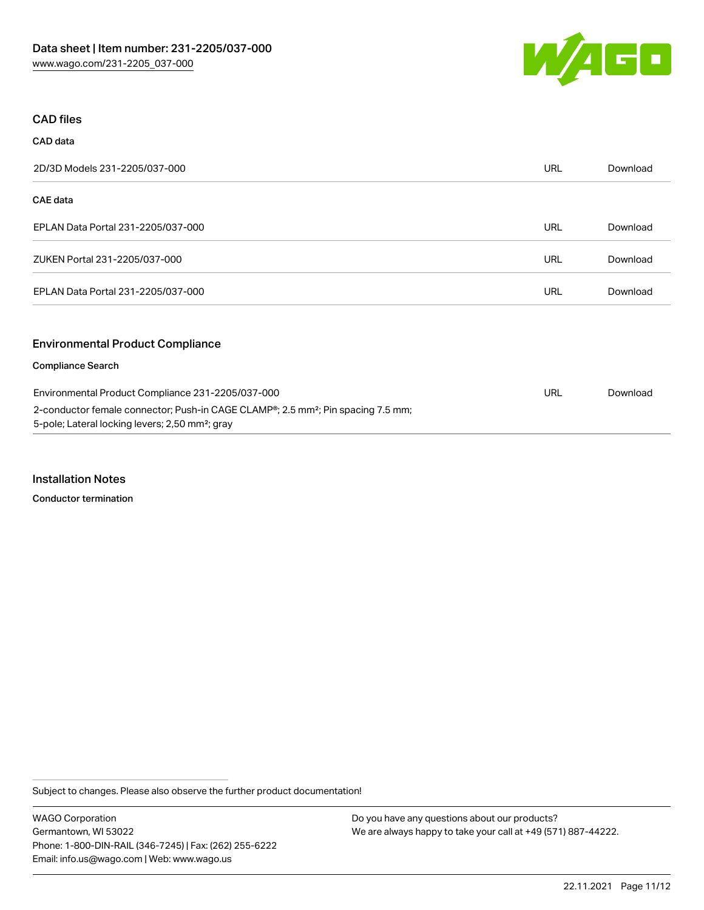

#### CAD files

| CAD data                                                                                                                                                    |            |          |
|-------------------------------------------------------------------------------------------------------------------------------------------------------------|------------|----------|
| 2D/3D Models 231-2205/037-000                                                                                                                               | <b>URL</b> | Download |
| CAE data                                                                                                                                                    |            |          |
| EPLAN Data Portal 231-2205/037-000                                                                                                                          | <b>URL</b> | Download |
| ZUKEN Portal 231-2205/037-000                                                                                                                               | <b>URL</b> | Download |
| EPLAN Data Portal 231-2205/037-000                                                                                                                          | <b>URL</b> | Download |
| <b>Environmental Product Compliance</b>                                                                                                                     |            |          |
| <b>Compliance Search</b>                                                                                                                                    |            |          |
| Environmental Product Compliance 231-2205/037-000                                                                                                           | <b>URL</b> | Download |
| 2-conductor female connector; Push-in CAGE CLAMP®; 2.5 mm <sup>2</sup> ; Pin spacing 7.5 mm;<br>5-pole; Lateral locking levers; 2,50 mm <sup>2</sup> ; gray |            |          |

#### Installation Notes

Conductor termination

Subject to changes. Please also observe the further product documentation!

WAGO Corporation Germantown, WI 53022 Phone: 1-800-DIN-RAIL (346-7245) | Fax: (262) 255-6222 Email: info.us@wago.com | Web: www.wago.us